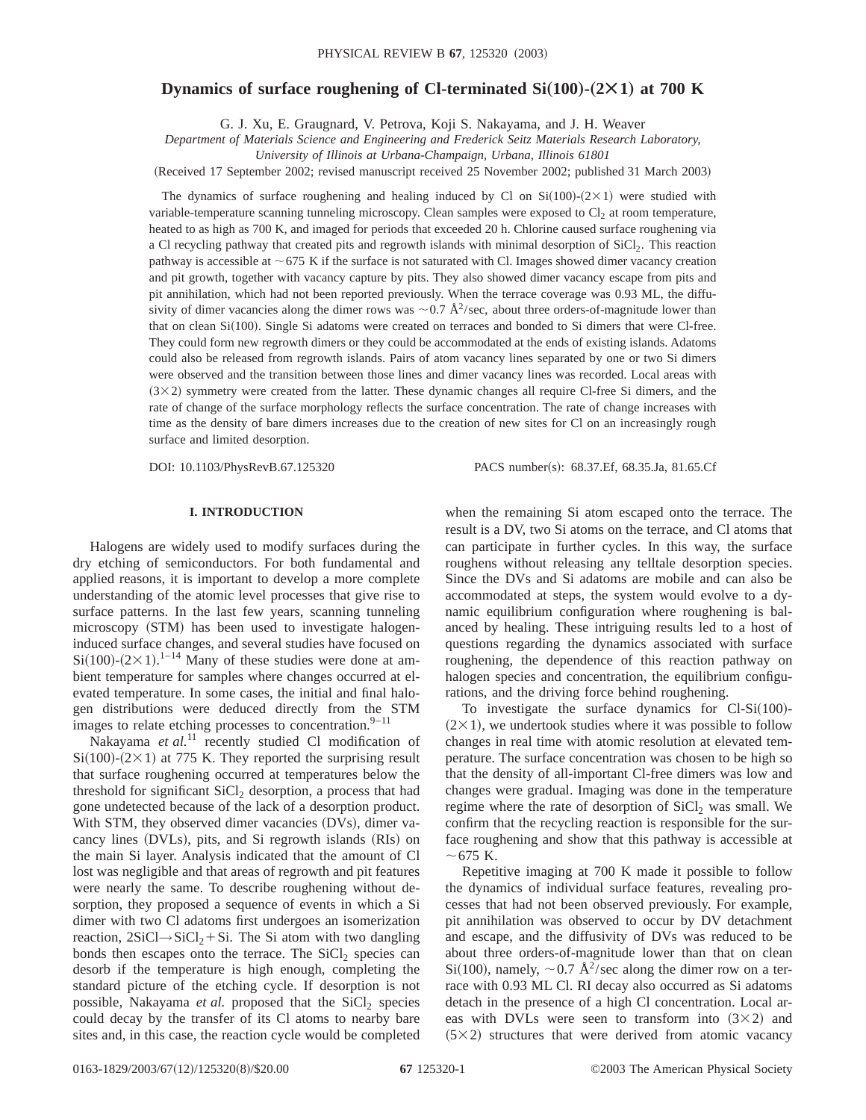# **Dynamics of surface roughening of CI-terminated**  $Si(100)$ **-** $(2 \times 1)$  **at 700 K**

G. J. Xu, E. Graugnard, V. Petrova, Koji S. Nakayama, and J. H. Weaver

*Department of Materials Science and Engineering and Frederick Seitz Materials Research Laboratory,*

*University of Illinois at Urbana-Champaign, Urbana, Illinois 61801*

(Received 17 September 2002; revised manuscript received 25 November 2002; published 31 March 2003)

The dynamics of surface roughening and healing induced by Cl on Si $(100)-(2\times1)$  were studied with variable-temperature scanning tunneling microscopy. Clean samples were exposed to  $Cl_2$  at room temperature, heated to as high as 700 K, and imaged for periods that exceeded 20 h. Chlorine caused surface roughening via a Cl recycling pathway that created pits and regrowth islands with minimal desorption of SiCl<sub>2</sub>. This reaction pathway is accessible at  $\sim$  675 K if the surface is not saturated with Cl. Images showed dimer vacancy creation and pit growth, together with vacancy capture by pits. They also showed dimer vacancy escape from pits and pit annihilation, which had not been reported previously. When the terrace coverage was 0.93 ML, the diffusivity of dimer vacancies along the dimer rows was  $\sim$  0.7 Å<sup>2</sup>/sec, about three orders-of-magnitude lower than that on clean Si(100). Single Si adatoms were created on terraces and bonded to Si dimers that were Cl-free. They could form new regrowth dimers or they could be accommodated at the ends of existing islands. Adatoms could also be released from regrowth islands. Pairs of atom vacancy lines separated by one or two Si dimers were observed and the transition between those lines and dimer vacancy lines was recorded. Local areas with  $(3\times2)$  symmetry were created from the latter. These dynamic changes all require Cl-free Si dimers, and the rate of change of the surface morphology reflects the surface concentration. The rate of change increases with time as the density of bare dimers increases due to the creation of new sites for Cl on an increasingly rough surface and limited desorption.

DOI: 10.1103/PhysRevB.67.125320 PACS number(s): 68.37.Ef, 68.35.Ja, 81.65.Cf

## **I. INTRODUCTION**

Halogens are widely used to modify surfaces during the dry etching of semiconductors. For both fundamental and applied reasons, it is important to develop a more complete understanding of the atomic level processes that give rise to surface patterns. In the last few years, scanning tunneling microscopy (STM) has been used to investigate halogeninduced surface changes, and several studies have focused on  $Si(100)$ - $(2 \times 1)$ .<sup>1-14</sup> Many of these studies were done at ambient temperature for samples where changes occurred at elevated temperature. In some cases, the initial and final halogen distributions were deduced directly from the STM images to relate etching processes to concentration.<sup>9–11</sup>

Nakayama et al.<sup>11</sup> recently studied Cl modification of  $Si(100)-(2\times1)$  at 775 K. They reported the surprising result that surface roughening occurred at temperatures below the threshold for significant SiCl<sub>2</sub> desorption, a process that had gone undetected because of the lack of a desorption product. With STM, they observed dimer vacancies (DVs), dimer vacancy lines (DVLs), pits, and Si regrowth islands (RIs) on the main Si layer. Analysis indicated that the amount of Cl lost was negligible and that areas of regrowth and pit features were nearly the same. To describe roughening without desorption, they proposed a sequence of events in which a Si dimer with two Cl adatoms first undergoes an isomerization reaction,  $2SiCl \rightarrow SiCl_2 + Si$ . The Si atom with two dangling bonds then escapes onto the terrace. The  $SiCl<sub>2</sub>$  species can desorb if the temperature is high enough, completing the standard picture of the etching cycle. If desorption is not possible, Nakayama et al. proposed that the SiCl<sub>2</sub> species could decay by the transfer of its Cl atoms to nearby bare sites and, in this case, the reaction cycle would be completed when the remaining Si atom escaped onto the terrace. The result is a DV, two Si atoms on the terrace, and Cl atoms that can participate in further cycles. In this way, the surface roughens without releasing any telltale desorption species. Since the DVs and Si adatoms are mobile and can also be accommodated at steps, the system would evolve to a dynamic equilibrium configuration where roughening is balanced by healing. These intriguing results led to a host of questions regarding the dynamics associated with surface roughening, the dependence of this reaction pathway on halogen species and concentration, the equilibrium configurations, and the driving force behind roughening.

To investigate the surface dynamics for  $Cl-Si(100)$ - $(2\times1)$ , we undertook studies where it was possible to follow changes in real time with atomic resolution at elevated temperature. The surface concentration was chosen to be high so that the density of all-important Cl-free dimers was low and changes were gradual. Imaging was done in the temperature regime where the rate of desorption of  $SiCl<sub>2</sub>$  was small. We confirm that the recycling reaction is responsible for the surface roughening and show that this pathway is accessible at  $\sim$  675 K.

Repetitive imaging at 700 K made it possible to follow the dynamics of individual surface features, revealing processes that had not been observed previously. For example, pit annihilation was observed to occur by DV detachment and escape, and the diffusivity of DVs was reduced to be about three orders-of-magnitude lower than that on clean Si(100), namely,  $\sim$  0.7 Å<sup>2</sup>/sec along the dimer row on a terrace with 0.93 ML Cl. RI decay also occurred as Si adatoms detach in the presence of a high Cl concentration. Local areas with DVLs were seen to transform into  $(3\times2)$  and  $(5\times2)$  structures that were derived from atomic vacancy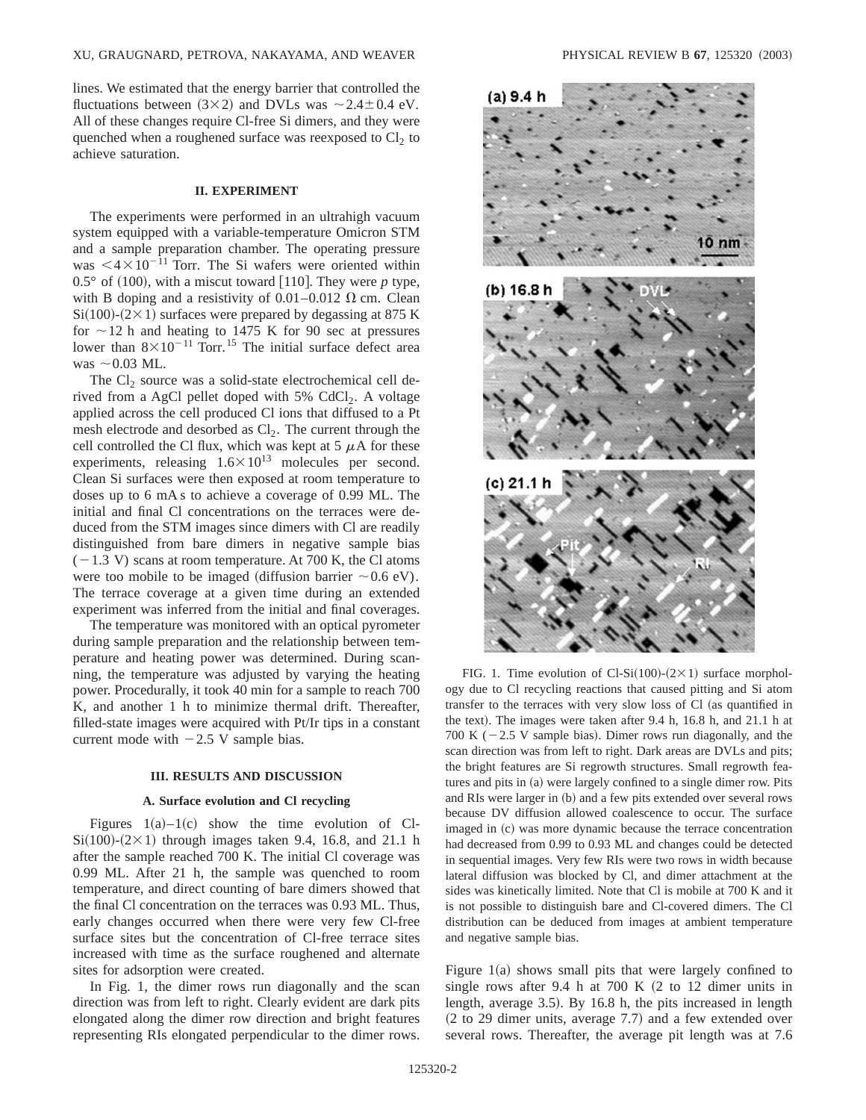lines. We estimated that the energy barrier that controlled the fluctuations between  $(3\times2)$  and DVLs was  $\sim 2.4\pm0.4$  eV. All of these changes require Cl-free Si dimers, and they were quenched when a roughened surface was reexposed to  $Cl<sub>2</sub>$  to achieve saturation.

## **II. EXPERIMENT**

The experiments were performed in an ultrahigh vacuum system equipped with a variable-temperature Omicron STM and a sample preparation chamber. The operating pressure was  $\leq 4 \times 10^{-11}$  Torr. The Si wafers were oriented within  $0.5^{\circ}$  of (100), with a miscut toward [110]. They were *p* type, with B doping and a resistivity of  $0.01-0.012$   $\Omega$  cm. Clean  $Si(100)$ - $(2 \times 1)$  surfaces were prepared by degassing at 875 K for  $\sim$  12 h and heating to 1475 K for 90 sec at pressures lower than  $8\times10^{-11}$  Torr.<sup>15</sup> The initial surface defect area was  $\sim$  0.03 ML.

The  $Cl<sub>2</sub>$  source was a solid-state electrochemical cell derived from a AgCl pellet doped with  $5\%$  CdCl<sub>2</sub>. A voltage applied across the cell produced Cl ions that diffused to a Pt mesh electrode and desorbed as  $Cl<sub>2</sub>$ . The current through the cell controlled the Cl flux, which was kept at  $5 \mu A$  for these experiments, releasing  $1.6 \times 10^{13}$  molecules per second. Clean Si surfaces were then exposed at room temperature to doses up to 6 mA s to achieve a coverage of 0.99 ML. The initial and final Cl concentrations on the terraces were deduced from the STM images since dimers with Cl are readily distinguished from bare dimers in negative sample bias  $(-1.3 \text{ V})$  scans at room temperature. At 700 K, the Cl atoms were too mobile to be imaged (diffusion barrier  $\sim 0.6$  eV). The terrace coverage at a given time during an extended experiment was inferred from the initial and final coverages.

The temperature was monitored with an optical pyrometer during sample preparation and the relationship between temperature and heating power was determined. During scanning, the temperature was adjusted by varying the heating power. Procedurally, it took 40 min for a sample to reach 700 K, and another 1 h to minimize thermal drift. Thereafter, filled-state images were acquired with Pt/Ir tips in a constant current mode with  $-2.5$  V sample bias.

#### **III. RESULTS AND DISCUSSION**

#### **A. Surface evolution and Cl recycling**

Figures  $1(a)-1(c)$  show the time evolution of Cl- $Si(100)$ - $(2 \times 1)$  through images taken 9.4, 16.8, and 21.1 h after the sample reached 700 K. The initial Cl coverage was 0.99 ML. After 21 h, the sample was quenched to room temperature, and direct counting of bare dimers showed that the final Cl concentration on the terraces was 0.93 ML. Thus, early changes occurred when there were very few Cl-free surface sites but the concentration of Cl-free terrace sites increased with time as the surface roughened and alternate sites for adsorption were created.

In Fig. 1, the dimer rows run diagonally and the scan direction was from left to right. Clearly evident are dark pits elongated along the dimer row direction and bright features representing RIs elongated perpendicular to the dimer rows.



FIG. 1. Time evolution of Cl-Si(100)-(2×1) surface morphology due to Cl recycling reactions that caused pitting and Si atom transfer to the terraces with very slow loss of Cl (as quantified in the text). The images were taken after  $9.4$  h,  $16.8$  h, and  $21.1$  h at 700 K ( $-2.5$  V sample bias). Dimer rows run diagonally, and the scan direction was from left to right. Dark areas are DVLs and pits; the bright features are Si regrowth structures. Small regrowth features and pits in  $(a)$  were largely confined to a single dimer row. Pits and RIs were larger in (b) and a few pits extended over several rows because DV diffusion allowed coalescence to occur. The surface imaged in (c) was more dynamic because the terrace concentration had decreased from 0.99 to 0.93 ML and changes could be detected in sequential images. Very few RIs were two rows in width because lateral diffusion was blocked by Cl, and dimer attachment at the sides was kinetically limited. Note that Cl is mobile at 700 K and it is not possible to distinguish bare and Cl-covered dimers. The Cl distribution can be deduced from images at ambient temperature and negative sample bias.

Figure  $1(a)$  shows small pits that were largely confined to single rows after 9.4 h at 700 K  $(2 \text{ to } 12 \text{ dimer units in})$ length, average 3.5). By 16.8 h, the pits increased in length  $(2 \text{ to } 29 \text{ dimer units}, \text{ average } 7.7)$  and a few extended over several rows. Thereafter, the average pit length was at 7.6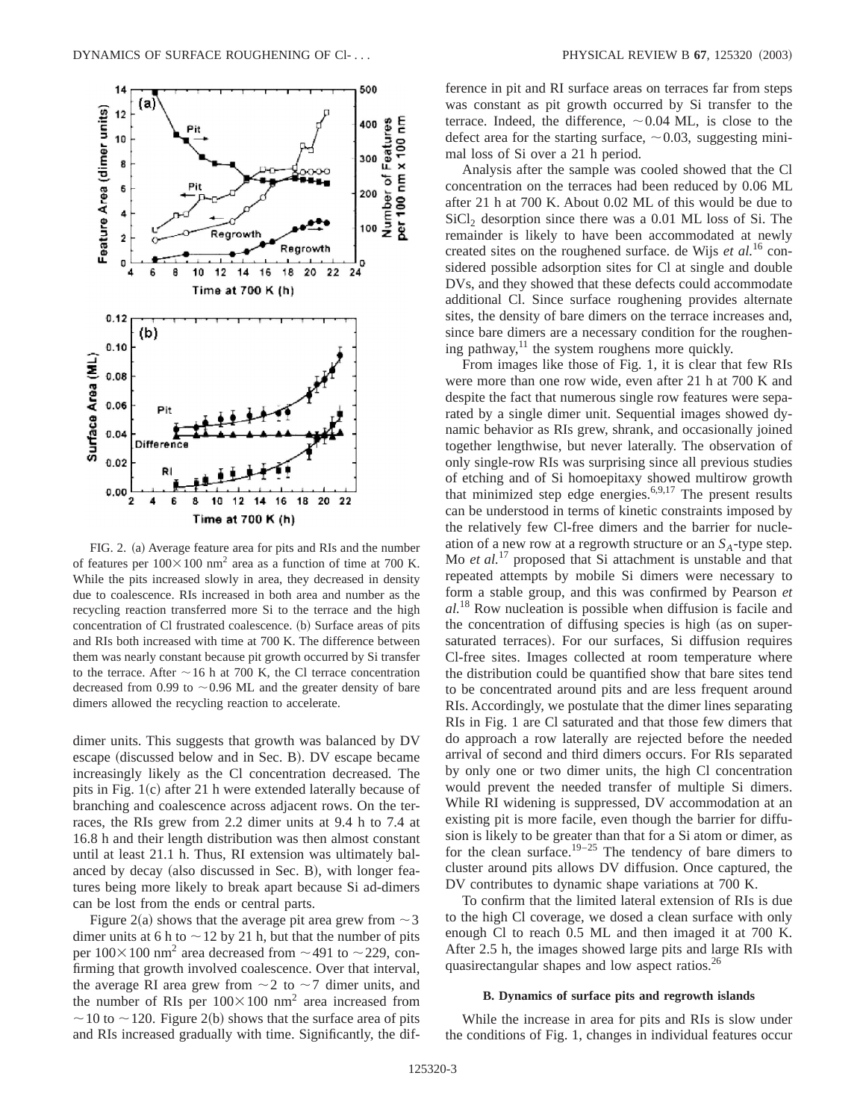

FIG. 2. (a) Average feature area for pits and RIs and the number of features per  $100 \times 100$  nm<sup>2</sup> area as a function of time at 700 K. While the pits increased slowly in area, they decreased in density due to coalescence. RIs increased in both area and number as the recycling reaction transferred more Si to the terrace and the high concentration of Cl frustrated coalescence. (b) Surface areas of pits and RIs both increased with time at 700 K. The difference between them was nearly constant because pit growth occurred by Si transfer to the terrace. After  $\sim$  16 h at 700 K, the Cl terrace concentration decreased from 0.99 to  $\sim$  0.96 ML and the greater density of bare dimers allowed the recycling reaction to accelerate.

dimer units. This suggests that growth was balanced by DV escape (discussed below and in Sec. B). DV escape became increasingly likely as the Cl concentration decreased. The pits in Fig.  $1(c)$  after 21 h were extended laterally because of branching and coalescence across adjacent rows. On the terraces, the RIs grew from 2.2 dimer units at 9.4 h to 7.4 at 16.8 h and their length distribution was then almost constant until at least 21.1 h. Thus, RI extension was ultimately balanced by decay (also discussed in Sec. B), with longer features being more likely to break apart because Si ad-dimers can be lost from the ends or central parts.

Figure 2(a) shows that the average pit area grew from  $\sim$  3 dimer units at 6 h to  $\sim$  12 by 21 h, but that the number of pits per  $100\times100$  nm<sup>2</sup> area decreased from  $\sim$  491 to  $\sim$  229, confirming that growth involved coalescence. Over that interval, the average RI area grew from  $\sim$  2 to  $\sim$  7 dimer units, and the number of RIs per  $100 \times 100$  nm<sup>2</sup> area increased from  $\sim$  10 to  $\sim$  120. Figure 2(b) shows that the surface area of pits and RIs increased gradually with time. Significantly, the difference in pit and RI surface areas on terraces far from steps was constant as pit growth occurred by Si transfer to the terrace. Indeed, the difference,  $\sim 0.04$  ML, is close to the defect area for the starting surface,  $\sim 0.03$ , suggesting minimal loss of Si over a 21 h period.

Analysis after the sample was cooled showed that the Cl concentration on the terraces had been reduced by 0.06 ML after 21 h at 700 K. About 0.02 ML of this would be due to SiCl<sub>2</sub> desorption since there was a 0.01 ML loss of Si. The remainder is likely to have been accommodated at newly created sites on the roughened surface. de Wijs *et al.*<sup>16</sup> considered possible adsorption sites for Cl at single and double DVs, and they showed that these defects could accommodate additional Cl. Since surface roughening provides alternate sites, the density of bare dimers on the terrace increases and, since bare dimers are a necessary condition for the roughening pathway, $^{11}$  the system roughens more quickly.

From images like those of Fig. 1, it is clear that few RIs were more than one row wide, even after 21 h at 700 K and despite the fact that numerous single row features were separated by a single dimer unit. Sequential images showed dynamic behavior as RIs grew, shrank, and occasionally joined together lengthwise, but never laterally. The observation of only single-row RIs was surprising since all previous studies of etching and of Si homoepitaxy showed multirow growth that minimized step edge energies.6,9,17 The present results can be understood in terms of kinetic constraints imposed by the relatively few Cl-free dimers and the barrier for nucleation of a new row at a regrowth structure or an  $S_A$ -type step. Mo *et al.*<sup>17</sup> proposed that Si attachment is unstable and that repeated attempts by mobile Si dimers were necessary to form a stable group, and this was confirmed by Pearson *et al.*<sup>18</sup> Row nucleation is possible when diffusion is facile and the concentration of diffusing species is high (as on supersaturated terraces). For our surfaces, Si diffusion requires Cl-free sites. Images collected at room temperature where the distribution could be quantified show that bare sites tend to be concentrated around pits and are less frequent around RIs. Accordingly, we postulate that the dimer lines separating RIs in Fig. 1 are Cl saturated and that those few dimers that do approach a row laterally are rejected before the needed arrival of second and third dimers occurs. For RIs separated by only one or two dimer units, the high Cl concentration would prevent the needed transfer of multiple Si dimers. While RI widening is suppressed, DV accommodation at an existing pit is more facile, even though the barrier for diffusion is likely to be greater than that for a Si atom or dimer, as for the clean surface.<sup>19–25</sup> The tendency of bare dimers to cluster around pits allows DV diffusion. Once captured, the DV contributes to dynamic shape variations at 700 K.

To confirm that the limited lateral extension of RIs is due to the high Cl coverage, we dosed a clean surface with only enough Cl to reach 0.5 ML and then imaged it at 700 K. After 2.5 h, the images showed large pits and large RIs with quasirectangular shapes and low aspect ratios.<sup>26</sup>

#### **B. Dynamics of surface pits and regrowth islands**

While the increase in area for pits and RIs is slow under the conditions of Fig. 1, changes in individual features occur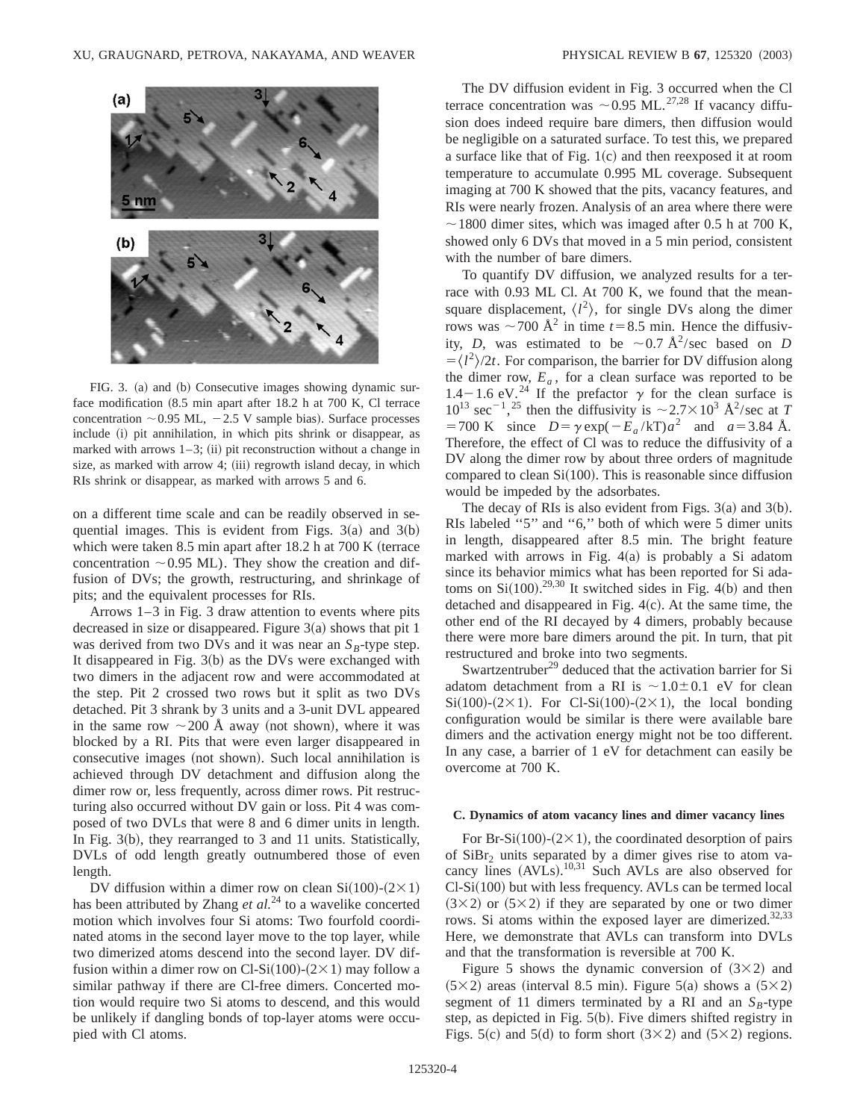

FIG. 3. (a) and (b) Consecutive images showing dynamic surface modification  $(8.5 \text{ min apart after } 18.2 \text{ h at } 700 \text{ K, Cl}$  terrace concentration  $\sim$  0.95 ML,  $-2.5$  V sample bias). Surface processes include (i) pit annihilation, in which pits shrink or disappear, as marked with arrows  $1-3$ ; (ii) pit reconstruction without a change in size, as marked with arrow 4;  $(iii)$  regrowth island decay, in which RIs shrink or disappear, as marked with arrows 5 and 6.

on a different time scale and can be readily observed in sequential images. This is evident from Figs.  $3(a)$  and  $3(b)$ which were taken 8.5 min apart after  $18.2$  h at  $700$  K (terrace concentration  $\sim 0.95$  ML). They show the creation and diffusion of DVs; the growth, restructuring, and shrinkage of pits; and the equivalent processes for RIs.

Arrows 1–3 in Fig. 3 draw attention to events where pits decreased in size or disappeared. Figure  $3(a)$  shows that pit 1 was derived from two DVs and it was near an  $S_B$ -type step. It disappeared in Fig.  $3(b)$  as the DVs were exchanged with two dimers in the adjacent row and were accommodated at the step. Pit 2 crossed two rows but it split as two DVs detached. Pit 3 shrank by 3 units and a 3-unit DVL appeared in the same row  $\sim$  200 Å away (not shown), where it was blocked by a RI. Pits that were even larger disappeared in consecutive images (not shown). Such local annihilation is achieved through DV detachment and diffusion along the dimer row or, less frequently, across dimer rows. Pit restructuring also occurred without DV gain or loss. Pit 4 was composed of two DVLs that were 8 and 6 dimer units in length. In Fig.  $3(b)$ , they rearranged to 3 and 11 units. Statistically, DVLs of odd length greatly outnumbered those of even length.

DV diffusion within a dimer row on clean Si $(100)-(2\times1)$ has been attributed by Zhang *et al.*<sup>24</sup> to a wavelike concerted motion which involves four Si atoms: Two fourfold coordinated atoms in the second layer move to the top layer, while two dimerized atoms descend into the second layer. DV diffusion within a dimer row on Cl-Si(100)-(2×1) may follow a similar pathway if there are Cl-free dimers. Concerted motion would require two Si atoms to descend, and this would be unlikely if dangling bonds of top-layer atoms were occupied with Cl atoms.

The DV diffusion evident in Fig. 3 occurred when the Cl terrace concentration was  $\sim 0.95$  ML.<sup>27,28</sup> If vacancy diffusion does indeed require bare dimers, then diffusion would be negligible on a saturated surface. To test this, we prepared a surface like that of Fig.  $1(c)$  and then reexposed it at room temperature to accumulate 0.995 ML coverage. Subsequent imaging at 700 K showed that the pits, vacancy features, and RIs were nearly frozen. Analysis of an area where there were  $\sim$  1800 dimer sites, which was imaged after 0.5 h at 700 K, showed only 6 DVs that moved in a 5 min period, consistent with the number of bare dimers.

To quantify DV diffusion, we analyzed results for a terrace with 0.93 ML Cl. At 700 K, we found that the meansquare displacement,  $\langle l^2 \rangle$ , for single DVs along the dimer rows was  $\sim$  700 Å<sup>2</sup> in time *t* = 8.5 min. Hence the diffusivity, *D*, was estimated to be  $\sim 0.7 \text{ Å}^2/\text{sec}$  based on *D*  $=\langle l^2 \rangle/2t$ . For comparison, the barrier for DV diffusion along the dimer row,  $E_a$ , for a clean surface was reported to be 1.4-1.6 eV.<sup>24</sup> If the prefactor  $\gamma$  for the clean surface is  $10^{13}$  sec<sup>-1</sup>,<sup>25</sup> then the diffusivity is  $\sim$  2.7 $\times$ 10<sup>3</sup> Å<sup>2</sup>/sec at *T*  $=700 \text{ K}$  since  $D = \gamma \exp(-E_a / kT)a^2$  and  $a = 3.84 \text{ Å}.$ Therefore, the effect of Cl was to reduce the diffusivity of a DV along the dimer row by about three orders of magnitude compared to clean  $Si(100)$ . This is reasonable since diffusion would be impeded by the adsorbates.

The decay of RIs is also evident from Figs.  $3(a)$  and  $3(b)$ . RIs labeled ''5'' and ''6,'' both of which were 5 dimer units in length, disappeared after 8.5 min. The bright feature marked with arrows in Fig.  $4(a)$  is probably a Si adatom since its behavior mimics what has been reported for Si adatoms on  $Si(100).^{29,30}$  It switched sides in Fig. 4(b) and then detached and disappeared in Fig.  $4(c)$ . At the same time, the other end of the RI decayed by 4 dimers, probably because there were more bare dimers around the pit. In turn, that pit restructured and broke into two segments.

Swartzentruber<sup>29</sup> deduced that the activation barrier for Si adatom detachment from a RI is  $\sim 1.0 \pm 0.1$  eV for clean  $Si(100)-(2\times1)$ . For Cl-Si(100)-(2×1), the local bonding configuration would be similar is there were available bare dimers and the activation energy might not be too different. In any case, a barrier of 1 eV for detachment can easily be overcome at 700 K.

#### **C. Dynamics of atom vacancy lines and dimer vacancy lines**

For Br-Si $(100)$ - $(2 \times 1)$ , the coordinated desorption of pairs of  $SiBr<sub>2</sub>$  units separated by a dimer gives rise to atom vacancy lines  $(AVLs)$ .<sup>10,31</sup> Such AVLs are also observed for  $Cl-Si(100)$  but with less frequency. AVLs can be termed local  $(3\times2)$  or  $(5\times2)$  if they are separated by one or two dimer rows. Si atoms within the exposed layer are dimerized.<sup>32,33</sup> Here, we demonstrate that AVLs can transform into DVLs and that the transformation is reversible at 700 K.

Figure 5 shows the dynamic conversion of  $(3\times2)$  and  $(5\times2)$  areas (interval 8.5 min). Figure 5(a) shows a  $(5\times2)$ segment of 11 dimers terminated by a RI and an  $S_B$ -type step, as depicted in Fig.  $5(b)$ . Five dimers shifted registry in Figs. 5(c) and 5(d) to form short  $(3\times2)$  and  $(5\times2)$  regions.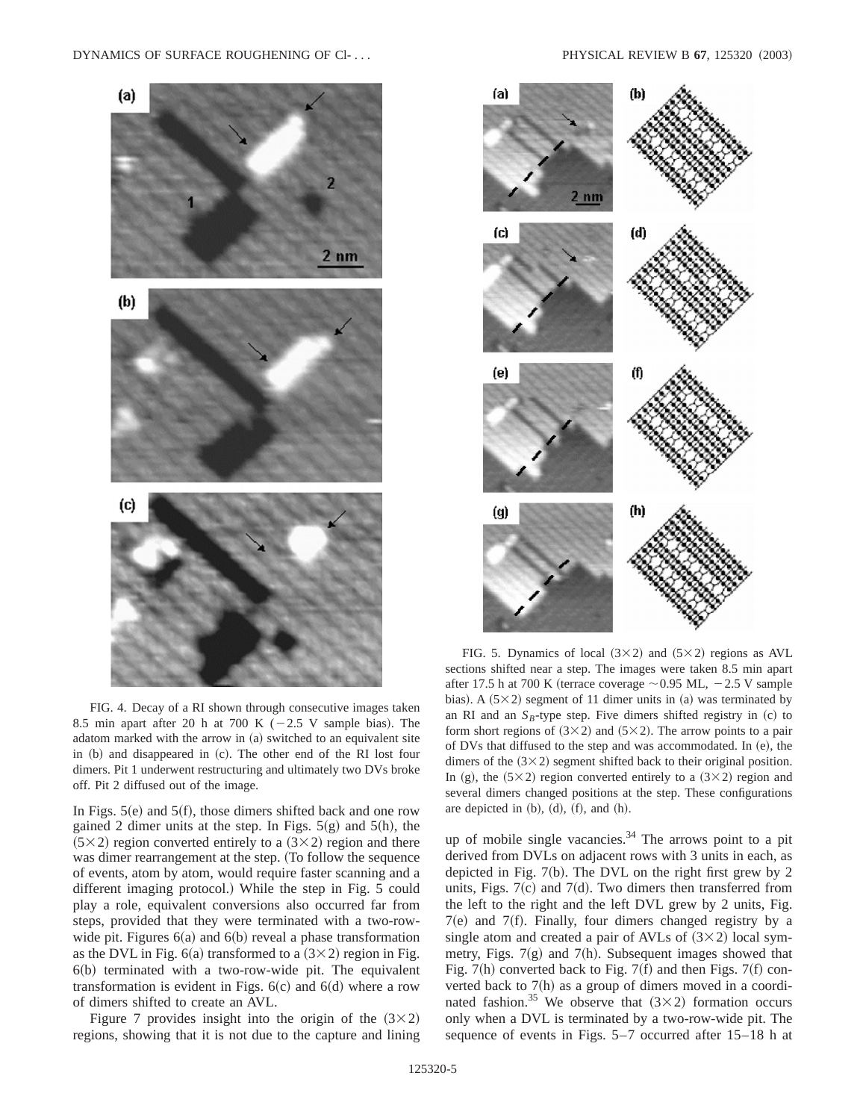

FIG. 4. Decay of a RI shown through consecutive images taken 8.5 min apart after 20 h at 700 K  $(-2.5 \text{ V})$  sample bias). The adatom marked with the arrow in (a) switched to an equivalent site in  $(b)$  and disappeared in  $(c)$ . The other end of the RI lost four dimers. Pit 1 underwent restructuring and ultimately two DVs broke off. Pit 2 diffused out of the image.

In Figs.  $5(e)$  and  $5(f)$ , those dimers shifted back and one row gained 2 dimer units at the step. In Figs.  $5(g)$  and  $5(h)$ , the  $(5\times2)$  region converted entirely to a  $(3\times2)$  region and there was dimer rearrangement at the step. (To follow the sequence of events, atom by atom, would require faster scanning and a different imaging protocol.) While the step in Fig. 5 could play a role, equivalent conversions also occurred far from steps, provided that they were terminated with a two-rowwide pit. Figures  $6(a)$  and  $6(b)$  reveal a phase transformation as the DVL in Fig. 6(a) transformed to a  $(3\times2)$  region in Fig.  $6(b)$  terminated with a two-row-wide pit. The equivalent transformation is evident in Figs.  $6(c)$  and  $6(d)$  where a row of dimers shifted to create an AVL.

Figure 7 provides insight into the origin of the  $(3\times2)$ regions, showing that it is not due to the capture and lining



FIG. 5. Dynamics of local  $(3\times2)$  and  $(5\times2)$  regions as AVL sections shifted near a step. The images were taken 8.5 min apart after 17.5 h at 700 K (terrace coverage  $\sim$  0.95 ML,  $-2.5$  V sample bias). A  $(5\times2)$  segment of 11 dimer units in (a) was terminated by an RI and an  $S_B$ -type step. Five dimers shifted registry in  $(c)$  to form short regions of  $(3\times2)$  and  $(5\times2)$ . The arrow points to a pair of DVs that diffused to the step and was accommodated. In  $(e)$ , the dimers of the  $(3\times2)$  segment shifted back to their original position. In (g), the  $(5\times2)$  region converted entirely to a  $(3\times2)$  region and several dimers changed positions at the step. These configurations are depicted in  $(b)$ ,  $(d)$ ,  $(f)$ , and  $(h)$ .

up of mobile single vacancies. $34$  The arrows point to a pit derived from DVLs on adjacent rows with 3 units in each, as depicted in Fig.  $7(b)$ . The DVL on the right first grew by 2 units, Figs.  $7(c)$  and  $7(d)$ . Two dimers then transferred from the left to the right and the left DVL grew by 2 units, Fig.  $7(e)$  and  $7(f)$ . Finally, four dimers changed registry by a single atom and created a pair of AVLs of  $(3\times2)$  local symmetry, Figs.  $7(g)$  and  $7(h)$ . Subsequent images showed that Fig. 7(h) converted back to Fig. 7(f) and then Figs. 7(f) converted back to  $7(h)$  as a group of dimers moved in a coordinated fashion.<sup>35</sup> We observe that  $(3\times2)$  formation occurs only when a DVL is terminated by a two-row-wide pit. The sequence of events in Figs. 5–7 occurred after 15–18 h at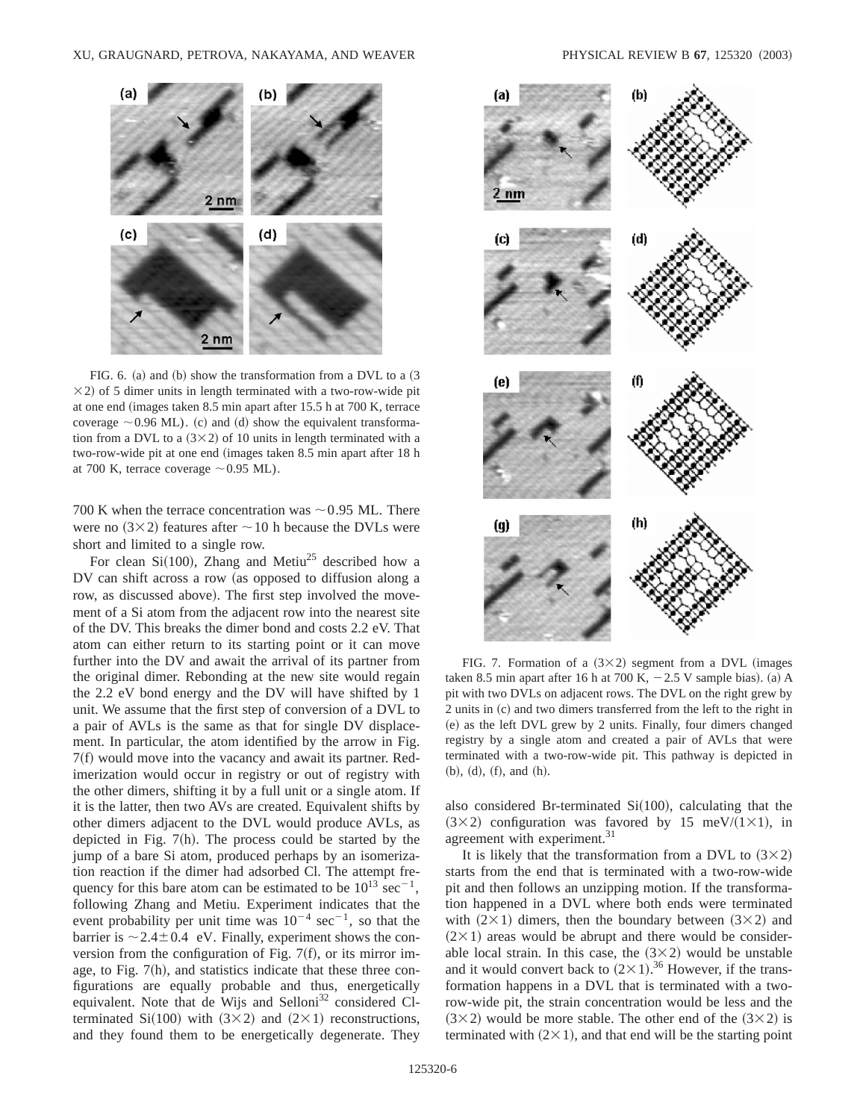

FIG. 6. (a) and (b) show the transformation from a DVL to a  $(3)$  $\times$ 2) of 5 dimer units in length terminated with a two-row-wide pit at one end (images taken 8.5 min apart after 15.5 h at 700 K, terrace coverage  $\sim$  0.96 ML). (c) and (d) show the equivalent transformation from a DVL to a  $(3\times2)$  of 10 units in length terminated with a two-row-wide pit at one end (images taken 8.5 min apart after 18 h at 700 K, terrace coverage  $\sim$  0.95 ML).

700 K when the terrace concentration was  $\sim$  0.95 ML. There were no  $(3\times2)$  features after  $\sim10$  h because the DVLs were short and limited to a single row.

For clean Si $(100)$ , Zhang and Metiu<sup>25</sup> described how a DV can shift across a row (as opposed to diffusion along a row, as discussed above). The first step involved the movement of a Si atom from the adjacent row into the nearest site of the DV. This breaks the dimer bond and costs 2.2 eV. That atom can either return to its starting point or it can move further into the DV and await the arrival of its partner from the original dimer. Rebonding at the new site would regain the 2.2 eV bond energy and the DV will have shifted by 1 unit. We assume that the first step of conversion of a DVL to a pair of AVLs is the same as that for single DV displacement. In particular, the atom identified by the arrow in Fig.  $7(f)$  would move into the vacancy and await its partner. Redimerization would occur in registry or out of registry with the other dimers, shifting it by a full unit or a single atom. If it is the latter, then two AVs are created. Equivalent shifts by other dimers adjacent to the DVL would produce AVLs, as depicted in Fig.  $7(h)$ . The process could be started by the jump of a bare Si atom, produced perhaps by an isomerization reaction if the dimer had adsorbed Cl. The attempt frequency for this bare atom can be estimated to be  $10^{13}$  sec<sup>-1</sup>, following Zhang and Metiu. Experiment indicates that the event probability per unit time was  $10^{-4}$  sec<sup>-1</sup>, so that the barrier is  $\sim$  2.4 $\pm$  0.4 eV. Finally, experiment shows the conversion from the configuration of Fig.  $7(f)$ , or its mirror image, to Fig.  $7(h)$ , and statistics indicate that these three configurations are equally probable and thus, energetically equivalent. Note that de Wijs and Selloni $32$  considered Clterminated Si(100) with  $(3\times2)$  and  $(2\times1)$  reconstructions, and they found them to be energetically degenerate. They



FIG. 7. Formation of a  $(3\times2)$  segment from a DVL (images taken 8.5 min apart after 16 h at 700 K,  $-2.5$  V sample bias). (a) A pit with two DVLs on adjacent rows. The DVL on the right grew by 2 units in (c) and two dimers transferred from the left to the right in (e) as the left DVL grew by 2 units. Finally, four dimers changed registry by a single atom and created a pair of AVLs that were terminated with a two-row-wide pit. This pathway is depicted in  $(b), (d), (f), and (h).$ 

also considered Br-terminated  $Si(100)$ , calculating that the  $(3\times2)$  configuration was favored by 15 meV/ $(1\times1)$ , in agreement with experiment.<sup>31</sup>

It is likely that the transformation from a DVL to  $(3 \times 2)$ starts from the end that is terminated with a two-row-wide pit and then follows an unzipping motion. If the transformation happened in a DVL where both ends were terminated with  $(2\times1)$  dimers, then the boundary between  $(3\times2)$  and  $(2\times1)$  areas would be abrupt and there would be considerable local strain. In this case, the  $(3\times2)$  would be unstable and it would convert back to  $(2 \times 1).$ <sup>36</sup> However, if the transformation happens in a DVL that is terminated with a tworow-wide pit, the strain concentration would be less and the  $(3\times2)$  would be more stable. The other end of the  $(3\times2)$  is terminated with  $(2 \times 1)$ , and that end will be the starting point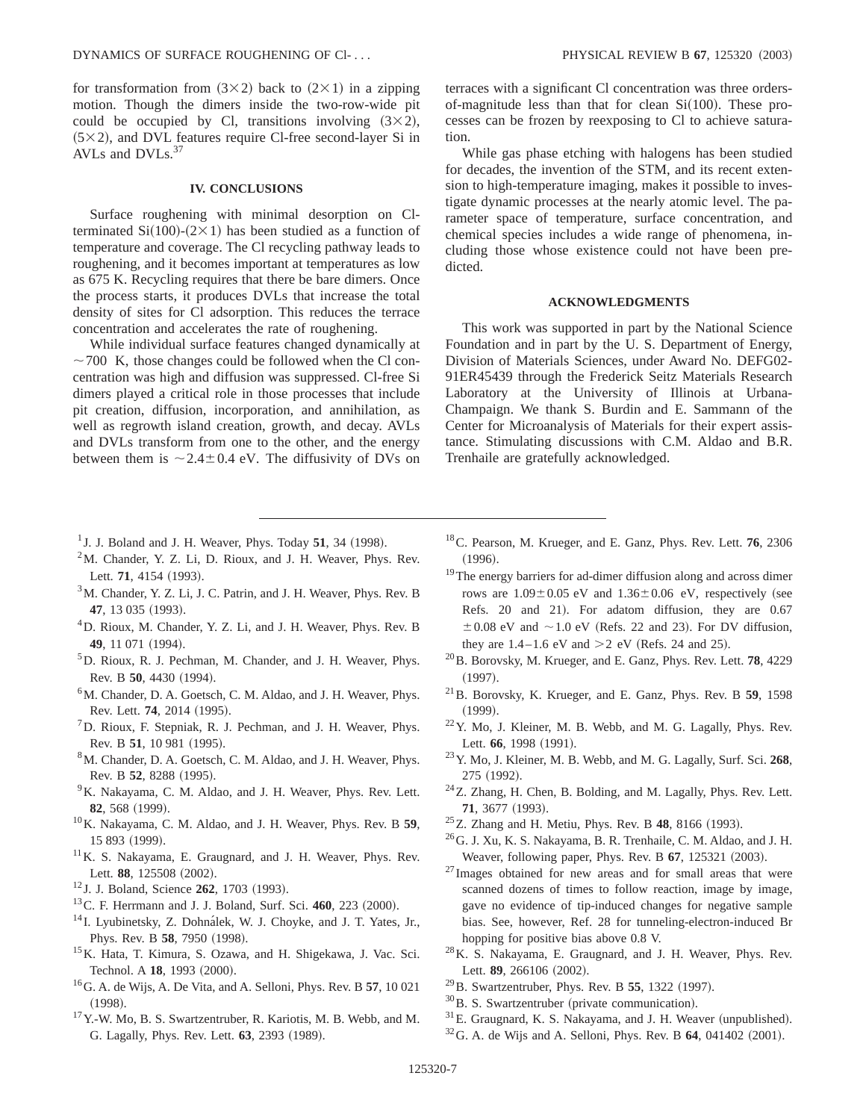for transformation from  $(3\times2)$  back to  $(2\times1)$  in a zipping motion. Though the dimers inside the two-row-wide pit could be occupied by Cl, transitions involving  $(3\times2)$ ,  $(5\times2)$ , and DVL features require Cl-free second-layer Si in AVLs and DVLs.<sup>37</sup>

## **IV. CONCLUSIONS**

Surface roughening with minimal desorption on Clterminated Si $(100)-(2\times1)$  has been studied as a function of temperature and coverage. The Cl recycling pathway leads to roughening, and it becomes important at temperatures as low as 675 K. Recycling requires that there be bare dimers. Once the process starts, it produces DVLs that increase the total density of sites for Cl adsorption. This reduces the terrace concentration and accelerates the rate of roughening.

While individual surface features changed dynamically at  $\sim$  700 K, those changes could be followed when the Cl concentration was high and diffusion was suppressed. Cl-free Si dimers played a critical role in those processes that include pit creation, diffusion, incorporation, and annihilation, as well as regrowth island creation, growth, and decay. AVLs and DVLs transform from one to the other, and the energy between them is  $\sim$  2.4 $\pm$  0.4 eV. The diffusivity of DVs on

terraces with a significant Cl concentration was three ordersof-magnitude less than that for clean  $Si(100)$ . These processes can be frozen by reexposing to Cl to achieve saturation.

While gas phase etching with halogens has been studied for decades, the invention of the STM, and its recent extension to high-temperature imaging, makes it possible to investigate dynamic processes at the nearly atomic level. The parameter space of temperature, surface concentration, and chemical species includes a wide range of phenomena, including those whose existence could not have been predicted.

### **ACKNOWLEDGMENTS**

This work was supported in part by the National Science Foundation and in part by the U. S. Department of Energy, Division of Materials Sciences, under Award No. DEFG02- 91ER45439 through the Frederick Seitz Materials Research Laboratory at the University of Illinois at Urbana-Champaign. We thank S. Burdin and E. Sammann of the Center for Microanalysis of Materials for their expert assistance. Stimulating discussions with C.M. Aldao and B.R. Trenhaile are gratefully acknowledged.

- $1$  J. J. Boland and J. H. Weaver, Phys. Today **51**, 34 (1998).
- $2<sup>2</sup>M$ . Chander, Y. Z. Li, D. Rioux, and J. H. Weaver, Phys. Rev. Lett. 71, 4154 (1993).
- <sup>3</sup>M. Chander, Y. Z. Li, J. C. Patrin, and J. H. Weaver, Phys. Rev. B 47, 13 035 (1993).
- <sup>4</sup>D. Rioux, M. Chander, Y. Z. Li, and J. H. Weaver, Phys. Rev. B 49, 11 071 (1994).
- 5D. Rioux, R. J. Pechman, M. Chander, and J. H. Weaver, Phys. Rev. B 50, 4430 (1994).
- <sup>6</sup>M. Chander, D. A. Goetsch, C. M. Aldao, and J. H. Weaver, Phys. Rev. Lett. **74**, 2014 (1995).
- $<sup>7</sup>D$ . Rioux, F. Stepniak, R. J. Pechman, and J. H. Weaver, Phys.</sup> Rev. B 51, 10 981 (1995).
- 8M. Chander, D. A. Goetsch, C. M. Aldao, and J. H. Weaver, Phys. Rev. B 52, 8288 (1995).
- $9K$ . Nakayama, C. M. Aldao, and J. H. Weaver, Phys. Rev. Lett. **82**, 568 (1999).
- 10K. Nakayama, C. M. Aldao, and J. H. Weaver, Phys. Rev. B **59**, 15 893 (1999).
- <sup>11</sup>K. S. Nakayama, E. Graugnard, and J. H. Weaver, Phys. Rev. Lett. 88, 125508 (2002).
- <sup>12</sup> J. J. Boland, Science **262**, 1703 (1993).
- <sup>13</sup> C. F. Herrmann and J. J. Boland, Surf. Sci. 460, 223 (2000).
- $14$  I. Lyubinetsky, Z. Dohnálek, W. J. Choyke, and J. T. Yates, Jr., Phys. Rev. B 58, 7950 (1998).
- 15K. Hata, T. Kimura, S. Ozawa, and H. Shigekawa, J. Vac. Sci. Technol. A 18, 1993 (2000).
- 16G. A. de Wijs, A. De Vita, and A. Selloni, Phys. Rev. B **57**, 10 021  $(1998).$
- 17Y.-W. Mo, B. S. Swartzentruber, R. Kariotis, M. B. Webb, and M. G. Lagally, Phys. Rev. Lett. **63**, 2393 (1989).
- 18C. Pearson, M. Krueger, and E. Ganz, Phys. Rev. Lett. **76**, 2306  $(1996).$
- <sup>19</sup>The energy barriers for ad-dimer diffusion along and across dimer rows are  $1.09\pm0.05$  eV and  $1.36\pm0.06$  eV, respectively (see Refs. 20 and 21). For adatom diffusion, they are 0.67  $\pm 0.08$  eV and  $\sim 1.0$  eV (Refs. 22 and 23). For DV diffusion, they are  $1.4-1.6$  eV and  $>2$  eV (Refs. 24 and 25).
- 20B. Borovsky, M. Krueger, and E. Ganz, Phys. Rev. Lett. **78**, 4229  $(1997).$
- 21B. Borovsky, K. Krueger, and E. Ganz, Phys. Rev. B **59**, 1598  $(1999).$
- 22Y. Mo, J. Kleiner, M. B. Webb, and M. G. Lagally, Phys. Rev. Lett. **66**, 1998 (1991).
- 23Y. Mo, J. Kleiner, M. B. Webb, and M. G. Lagally, Surf. Sci. **268**, 275 (1992).
- 24Z. Zhang, H. Chen, B. Bolding, and M. Lagally, Phys. Rev. Lett. 71, 3677 (1993).
- <sup>25</sup>Z. Zhang and H. Metiu, Phys. Rev. B 48, 8166 (1993).
- $^{26}$ G. J. Xu, K. S. Nakayama, B. R. Trenhaile, C. M. Aldao, and J. H. Weaver, following paper, Phys. Rev. B 67, 125321 (2003).
- <sup>27</sup> Images obtained for new areas and for small areas that were scanned dozens of times to follow reaction, image by image, gave no evidence of tip-induced changes for negative sample bias. See, however, Ref. 28 for tunneling-electron-induced Br hopping for positive bias above 0.8 V.
- 28K. S. Nakayama, E. Graugnard, and J. H. Weaver, Phys. Rev. Lett. **89**, 266106 (2002).
- <sup>29</sup>B. Swartzentruber, Phys. Rev. B **55**, 1322 (1997).
- $30B$ . S. Swartzentruber (private communication).
- $31$ E. Graugnard, K. S. Nakayama, and J. H. Weaver (unpublished).
- $32$  G. A. de Wijs and A. Selloni, Phys. Rev. B  $64$ , 041402 (2001).